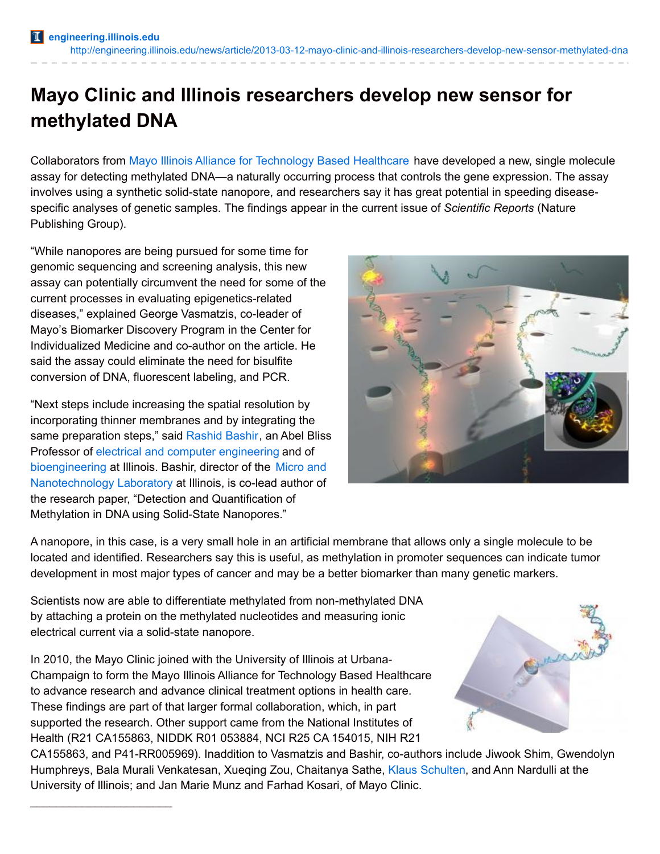## **Mayo Clinic and Illinois researchers develop new sensor for methylated DNA**

Collaborators from Mayo Illinois Alliance for [Technology](http://mayoillinois.org/) Based Healthcare have developed a new, single molecule assay for detecting methylated DNA—a naturally occurring process that controls the gene expression. The assay involves using a synthetic solid-state nanopore, and researchers say it has great potential in speeding diseasespecific analyses of genetic samples. The findings appear in the current issue of *Scientific Reports* (Nature Publishing Group).

"While nanopores are being pursued for some time for genomic sequencing and screening analysis, this new assay can potentially circumvent the need for some of the current processes in evaluating epigenetics-related diseases," explained George Vasmatzis, co-leader of Mayo's Biomarker Discovery Program in the Center for Individualized Medicine and co-author on the article. He said the assay could eliminate the need for bisulfite conversion of DNA, fluorescent labeling, and PCR.

"Next steps include increasing the spatial resolution by incorporating thinner membranes and by integrating the same preparation steps," said [Rashid](http://www.ece.illinois.edu/directory/profile.asp?rbashir) Bashir, an Abel Bliss Professor of electrical and computer [engineering](http://www.ece.illinois.edu/) and of [bioengineering](http://www.bioen.illinois.edu/) at Illinois. Bashir, director of the Micro and [Nanotechnology](http://mntl.illinois.edu/) Laboratory at Illinois, is co-lead author of the research paper, "Detection and Quantification of Methylation in DNA using Solid-State Nanopores."

\_\_\_\_\_\_\_\_\_\_\_\_\_\_\_\_\_\_\_\_\_\_



A nanopore, in this case, is a very small hole in an artificial membrane that allows only a single molecule to be located and identified. Researchers say this is useful, as methylation in promoter sequences can indicate tumor development in most major types of cancer and may be a better biomarker than many genetic markers.

Scientists now are able to differentiate methylated from non-methylated DNA by attaching a protein on the methylated nucleotides and measuring ionic electrical current via a solid-state nanopore.

In 2010, the Mayo Clinic joined with the University of Illinois at Urbana-Champaign to form the Mayo Illinois Alliance for Technology Based Healthcare to advance research and advance clinical treatment options in health care. These findings are part of that larger formal collaboration, which, in part supported the research. Other support came from the National Institutes of Health (R21 CA155863, NIDDK R01 053884, NCI R25 CA 154015, NIH R21

Sulle

CA155863, and P41-RR005969). Inaddition to Vasmatzis and Bashir, co-authors include Jiwook Shim, Gwendolyn Humphreys, Bala Murali Venkatesan, Xueqing Zou, Chaitanya Sathe, Klaus [Schulten](http://physics.illinois.edu/people/profile.asp?schulten), and Ann Nardulli at the University of Illinois; and Jan Marie Munz and Farhad Kosari, of Mayo Clinic.